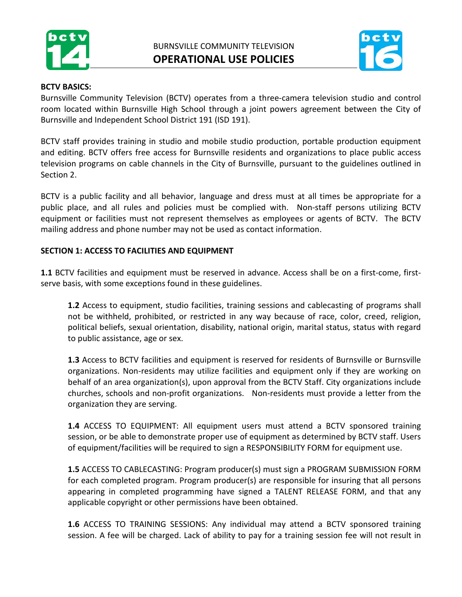



#### **BCTV BASICS:**

Burnsville Community Television (BCTV) operates from a three-camera television studio and control room located within Burnsville High School through a joint powers agreement between the City of Burnsville and Independent School District 191 (ISD 191).

BCTV staff provides training in studio and mobile studio production, portable production equipment and editing. BCTV offers free access for Burnsville residents and organizations to place public access television programs on cable channels in the City of Burnsville, pursuant to the guidelines outlined in Section 2.

BCTV is a public facility and all behavior, language and dress must at all times be appropriate for a public place, and all rules and policies must be complied with. Non-staff persons utilizing BCTV equipment or facilities must not represent themselves as employees or agents of BCTV. The BCTV mailing address and phone number may not be used as contact information.

### **SECTION 1: ACCESS TO FACILITIES AND EQUIPMENT**

**1.1** BCTV facilities and equipment must be reserved in advance. Access shall be on a first-come, firstserve basis, with some exceptions found in these guidelines.

**1.2** Access to equipment, studio facilities, training sessions and cablecasting of programs shall not be withheld, prohibited, or restricted in any way because of race, color, creed, religion, political beliefs, sexual orientation, disability, national origin, marital status, status with regard to public assistance, age or sex.

**1.3** Access to BCTV facilities and equipment is reserved for residents of Burnsville or Burnsville organizations. Non-residents may utilize facilities and equipment only if they are working on behalf of an area organization(s), upon approval from the BCTV Staff. City organizations include churches, schools and non-profit organizations. Non-residents must provide a letter from the organization they are serving.

**1.4** ACCESS TO EQUIPMENT: All equipment users must attend a BCTV sponsored training session, or be able to demonstrate proper use of equipment as determined by BCTV staff. Users of equipment/facilities will be required to sign a RESPONSIBILITY FORM for equipment use.

**1.5** ACCESS TO CABLECASTING: Program producer(s) must sign a PROGRAM SUBMISSION FORM for each completed program. Program producer(s) are responsible for insuring that all persons appearing in completed programming have signed a TALENT RELEASE FORM, and that any applicable copyright or other permissions have been obtained.

**1.6** ACCESS TO TRAINING SESSIONS: Any individual may attend a BCTV sponsored training session. A fee will be charged. Lack of ability to pay for a training session fee will not result in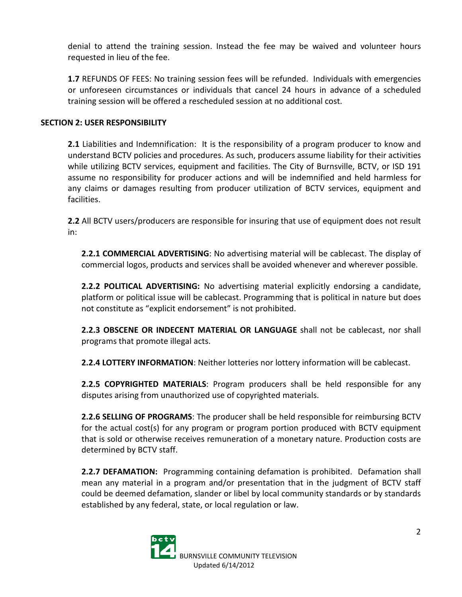denial to attend the training session. Instead the fee may be waived and volunteer hours requested in lieu of the fee.

**1.7** REFUNDS OF FEES: No training session fees will be refunded. Individuals with emergencies or unforeseen circumstances or individuals that cancel 24 hours in advance of a scheduled training session will be offered a rescheduled session at no additional cost.

### **SECTION 2: USER RESPONSIBILITY**

**2.1** Liabilities and Indemnification: It is the responsibility of a program producer to know and understand BCTV policies and procedures. As such, producers assume liability for their activities while utilizing BCTV services, equipment and facilities. The City of Burnsville, BCTV, or ISD 191 assume no responsibility for producer actions and will be indemnified and held harmless for any claims or damages resulting from producer utilization of BCTV services, equipment and facilities.

**2.2** All BCTV users/producers are responsible for insuring that use of equipment does not result in:

**2.2.1 COMMERCIAL ADVERTISING**: No advertising material will be cablecast. The display of commercial logos, products and services shall be avoided whenever and wherever possible.

**2.2.2 POLITICAL ADVERTISING:** No advertising material explicitly endorsing a candidate, platform or political issue will be cablecast. Programming that is political in nature but does not constitute as "explicit endorsement" is not prohibited.

**2.2.3 OBSCENE OR INDECENT MATERIAL OR LANGUAGE** shall not be cablecast, nor shall programs that promote illegal acts.

**2.2.4 LOTTERY INFORMATION**: Neither lotteries nor lottery information will be cablecast.

**2.2.5 COPYRIGHTED MATERIALS**: Program producers shall be held responsible for any disputes arising from unauthorized use of copyrighted materials.

**2.2.6 SELLING OF PROGRAMS**: The producer shall be held responsible for reimbursing BCTV for the actual cost(s) for any program or program portion produced with BCTV equipment that is sold or otherwise receives remuneration of a monetary nature. Production costs are determined by BCTV staff.

**2.2.7 DEFAMATION:** Programming containing defamation is prohibited. Defamation shall mean any material in a program and/or presentation that in the judgment of BCTV staff could be deemed defamation, slander or libel by local community standards or by standards established by any federal, state, or local regulation or law.

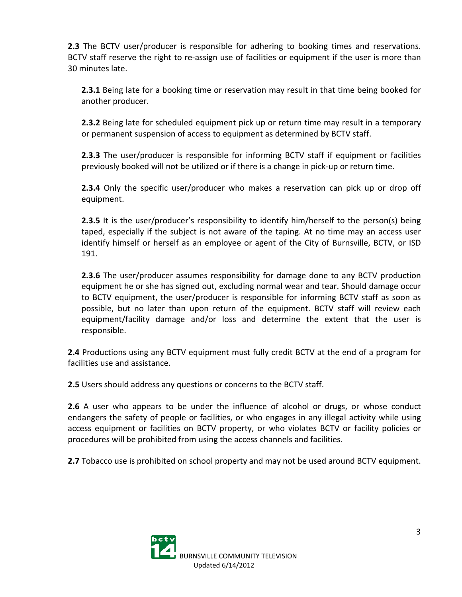**2.3** The BCTV user/producer is responsible for adhering to booking times and reservations. BCTV staff reserve the right to re-assign use of facilities or equipment if the user is more than 30 minutes late.

**2.3.1** Being late for a booking time or reservation may result in that time being booked for another producer.

**2.3.2** Being late for scheduled equipment pick up or return time may result in a temporary or permanent suspension of access to equipment as determined by BCTV staff.

**2.3.3** The user/producer is responsible for informing BCTV staff if equipment or facilities previously booked will not be utilized or if there is a change in pick-up or return time.

**2.3.4** Only the specific user/producer who makes a reservation can pick up or drop off equipment.

**2.3.5** It is the user/producer's responsibility to identify him/herself to the person(s) being taped, especially if the subject is not aware of the taping. At no time may an access user identify himself or herself as an employee or agent of the City of Burnsville, BCTV, or ISD 191.

**2.3.6** The user/producer assumes responsibility for damage done to any BCTV production equipment he or she has signed out, excluding normal wear and tear. Should damage occur to BCTV equipment, the user/producer is responsible for informing BCTV staff as soon as possible, but no later than upon return of the equipment. BCTV staff will review each equipment/facility damage and/or loss and determine the extent that the user is responsible.

**2.4** Productions using any BCTV equipment must fully credit BCTV at the end of a program for facilities use and assistance.

**2.5** Users should address any questions or concerns to the BCTV staff.

**2.6** A user who appears to be under the influence of alcohol or drugs, or whose conduct endangers the safety of people or facilities, or who engages in any illegal activity while using access equipment or facilities on BCTV property, or who violates BCTV or facility policies or procedures will be prohibited from using the access channels and facilities.

**2.7** Tobacco use is prohibited on school property and may not be used around BCTV equipment.

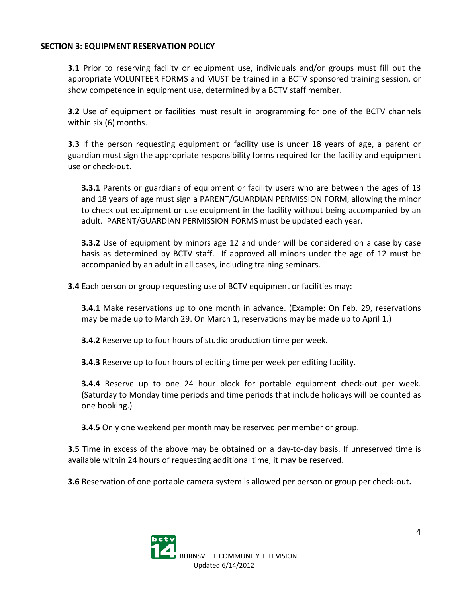### **SECTION 3: EQUIPMENT RESERVATION POLICY**

**3.1** Prior to reserving facility or equipment use, individuals and/or groups must fill out the appropriate VOLUNTEER FORMS and MUST be trained in a BCTV sponsored training session, or show competence in equipment use, determined by a BCTV staff member.

**3.2** Use of equipment or facilities must result in programming for one of the BCTV channels within six (6) months.

**3.3** If the person requesting equipment or facility use is under 18 years of age, a parent or guardian must sign the appropriate responsibility forms required for the facility and equipment use or check-out.

**3.3.1** Parents or guardians of equipment or facility users who are between the ages of 13 and 18 years of age must sign a PARENT/GUARDIAN PERMISSION FORM, allowing the minor to check out equipment or use equipment in the facility without being accompanied by an adult. PARENT/GUARDIAN PERMISSION FORMS must be updated each year.

**3.3.2** Use of equipment by minors age 12 and under will be considered on a case by case basis as determined by BCTV staff. If approved all minors under the age of 12 must be accompanied by an adult in all cases, including training seminars.

**3.4** Each person or group requesting use of BCTV equipment or facilities may:

**3.4.1** Make reservations up to one month in advance. (Example: On Feb. 29, reservations may be made up to March 29. On March 1, reservations may be made up to April 1.)

**3.4.2** Reserve up to four hours of studio production time per week.

**3.4.3** Reserve up to four hours of editing time per week per editing facility.

**3.4.4** Reserve up to one 24 hour block for portable equipment check-out per week. (Saturday to Monday time periods and time periods that include holidays will be counted as one booking.)

**3.4.5** Only one weekend per month may be reserved per member or group.

**3.5** Time in excess of the above may be obtained on a day-to-day basis. If unreserved time is available within 24 hours of requesting additional time, it may be reserved.

**3.6** Reservation of one portable camera system is allowed per person or group per check-out**.**

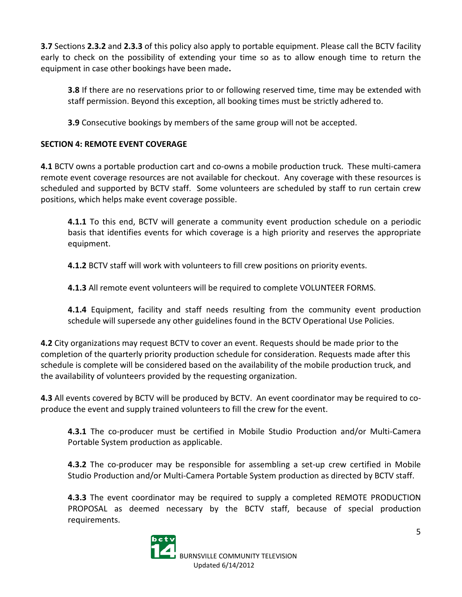**3.7** Sections **2.3.2** and **2.3.3** of this policy also apply to portable equipment. Please call the BCTV facility early to check on the possibility of extending your time so as to allow enough time to return the equipment in case other bookings have been made**.**

**3.8** If there are no reservations prior to or following reserved time, time may be extended with staff permission. Beyond this exception, all booking times must be strictly adhered to.

**3.9** Consecutive bookings by members of the same group will not be accepted.

# **SECTION 4: REMOTE EVENT COVERAGE**

**4.1** BCTV owns a portable production cart and co-owns a mobile production truck. These multi-camera remote event coverage resources are not available for checkout. Any coverage with these resources is scheduled and supported by BCTV staff. Some volunteers are scheduled by staff to run certain crew positions, which helps make event coverage possible.

**4.1.1** To this end, BCTV will generate a community event production schedule on a periodic basis that identifies events for which coverage is a high priority and reserves the appropriate equipment.

**4.1.2** BCTV staff will work with volunteers to fill crew positions on priority events.

**4.1.3** All remote event volunteers will be required to complete VOLUNTEER FORMS.

**4.1.4** Equipment, facility and staff needs resulting from the community event production schedule will supersede any other guidelines found in the BCTV Operational Use Policies.

**4.2** City organizations may request BCTV to cover an event. Requests should be made prior to the completion of the quarterly priority production schedule for consideration. Requests made after this schedule is complete will be considered based on the availability of the mobile production truck, and the availability of volunteers provided by the requesting organization.

**4.3** All events covered by BCTV will be produced by BCTV. An event coordinator may be required to coproduce the event and supply trained volunteers to fill the crew for the event.

**4.3.1** The co-producer must be certified in Mobile Studio Production and/or Multi-Camera Portable System production as applicable.

**4.3.2** The co-producer may be responsible for assembling a set-up crew certified in Mobile Studio Production and/or Multi-Camera Portable System production as directed by BCTV staff.

**4.3.3** The event coordinator may be required to supply a completed REMOTE PRODUCTION PROPOSAL as deemed necessary by the BCTV staff, because of special production requirements.

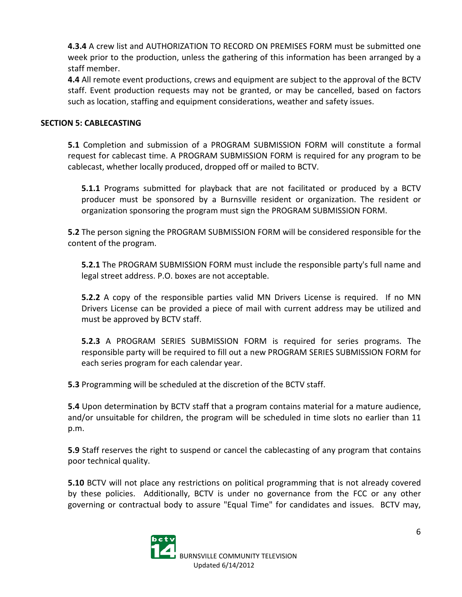**4.3.4** A crew list and AUTHORIZATION TO RECORD ON PREMISES FORM must be submitted one week prior to the production, unless the gathering of this information has been arranged by a staff member.

**4.4** All remote event productions, crews and equipment are subject to the approval of the BCTV staff. Event production requests may not be granted, or may be cancelled, based on factors such as location, staffing and equipment considerations, weather and safety issues.

### **SECTION 5: CABLECASTING**

**5.1** Completion and submission of a PROGRAM SUBMISSION FORM will constitute a formal request for cablecast time. A PROGRAM SUBMISSION FORM is required for any program to be cablecast, whether locally produced, dropped off or mailed to BCTV.

**5.1.1** Programs submitted for playback that are not facilitated or produced by a BCTV producer must be sponsored by a Burnsville resident or organization. The resident or organization sponsoring the program must sign the PROGRAM SUBMISSION FORM.

**5.2** The person signing the PROGRAM SUBMISSION FORM will be considered responsible for the content of the program.

**5.2.1** The PROGRAM SUBMISSION FORM must include the responsible party's full name and legal street address. P.O. boxes are not acceptable.

**5.2.2** A copy of the responsible parties valid MN Drivers License is required. If no MN Drivers License can be provided a piece of mail with current address may be utilized and must be approved by BCTV staff.

**5.2.3** A PROGRAM SERIES SUBMISSION FORM is required for series programs. The responsible party will be required to fill out a new PROGRAM SERIES SUBMISSION FORM for each series program for each calendar year.

**5.3** Programming will be scheduled at the discretion of the BCTV staff.

**5.4** Upon determination by BCTV staff that a program contains material for a mature audience, and/or unsuitable for children, the program will be scheduled in time slots no earlier than 11 p.m.

**5.9** Staff reserves the right to suspend or cancel the cablecasting of any program that contains poor technical quality.

**5.10** BCTV will not place any restrictions on political programming that is not already covered by these policies. Additionally, BCTV is under no governance from the FCC or any other governing or contractual body to assure "Equal Time" for candidates and issues. BCTV may,

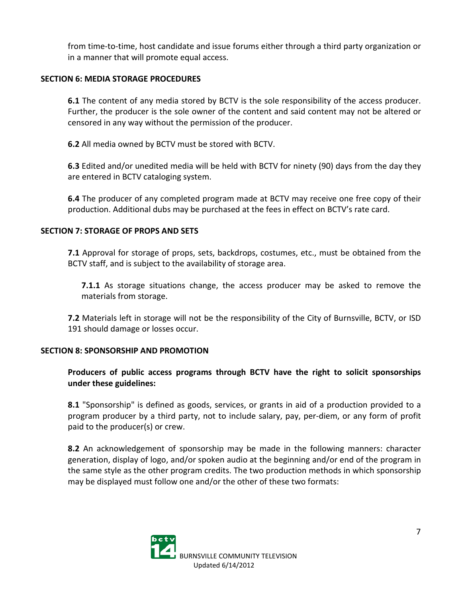from time-to-time, host candidate and issue forums either through a third party organization or in a manner that will promote equal access.

### **SECTION 6: MEDIA STORAGE PROCEDURES**

**6.1** The content of any media stored by BCTV is the sole responsibility of the access producer. Further, the producer is the sole owner of the content and said content may not be altered or censored in any way without the permission of the producer.

**6.2** All media owned by BCTV must be stored with BCTV.

**6.3** Edited and/or unedited media will be held with BCTV for ninety (90) days from the day they are entered in BCTV cataloging system.

**6.4** The producer of any completed program made at BCTV may receive one free copy of their production. Additional dubs may be purchased at the fees in effect on BCTV's rate card.

### **SECTION 7: STORAGE OF PROPS AND SETS**

**7.1** Approval for storage of props, sets, backdrops, costumes, etc., must be obtained from the BCTV staff, and is subject to the availability of storage area.

**7.1.1** As storage situations change, the access producer may be asked to remove the materials from storage.

**7.2** Materials left in storage will not be the responsibility of the City of Burnsville, BCTV, or ISD 191 should damage or losses occur.

#### **SECTION 8: SPONSORSHIP AND PROMOTION**

## **Producers of public access programs through BCTV have the right to solicit sponsorships under these guidelines:**

**8.1** "Sponsorship" is defined as goods, services, or grants in aid of a production provided to a program producer by a third party, not to include salary, pay, per-diem, or any form of profit paid to the producer(s) or crew.

**8.2** An acknowledgement of sponsorship may be made in the following manners: character generation, display of logo, and/or spoken audio at the beginning and/or end of the program in the same style as the other program credits. The two production methods in which sponsorship may be displayed must follow one and/or the other of these two formats:

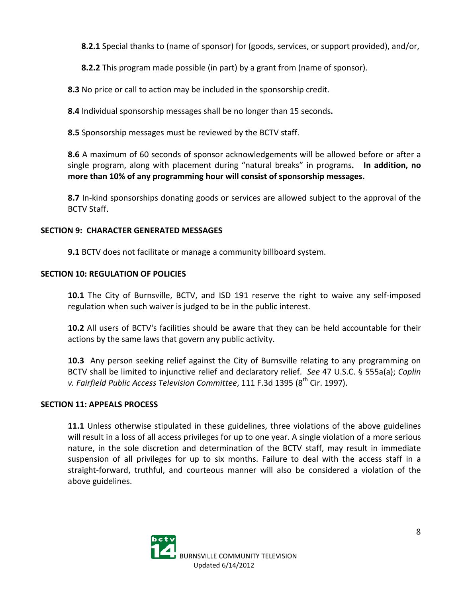**8.2.1** Special thanks to (name of sponsor) for (goods, services, or support provided), and/or,

**8.2.2** This program made possible (in part) by a grant from (name of sponsor).

**8.3** No price or call to action may be included in the sponsorship credit.

**8.4** Individual sponsorship messages shall be no longer than 15 seconds**.**

**8.5** Sponsorship messages must be reviewed by the BCTV staff.

**8.6** A maximum of 60 seconds of sponsor acknowledgements will be allowed before or after a single program, along with placement during "natural breaks" in programs**. In addition, no more than 10% of any programming hour will consist of sponsorship messages.** 

**8.7** In-kind sponsorships donating goods or services are allowed subject to the approval of the BCTV Staff.

## **SECTION 9: CHARACTER GENERATED MESSAGES**

**9.1** BCTV does not facilitate or manage a community billboard system.

# **SECTION 10: REGULATION OF POLICIES**

**10.1** The City of Burnsville, BCTV, and ISD 191 reserve the right to waive any self-imposed regulation when such waiver is judged to be in the public interest.

**10.2** All users of BCTV's facilities should be aware that they can be held accountable for their actions by the same laws that govern any public activity.

**10.3** Any person seeking relief against the City of Burnsville relating to any programming on BCTV shall be limited to injunctive relief and declaratory relief. *See* 47 U.S.C. § 555a(a); *Coplin v. Fairfield Public Access Television Committee,* 111 F.3d 1395 (8<sup>th</sup> Cir. 1997).

## **SECTION 11: APPEALS PROCESS**

**11.1** Unless otherwise stipulated in these guidelines, three violations of the above guidelines will result in a loss of all access privileges for up to one year. A single violation of a more serious nature, in the sole discretion and determination of the BCTV staff, may result in immediate suspension of all privileges for up to six months. Failure to deal with the access staff in a straight-forward, truthful, and courteous manner will also be considered a violation of the above guidelines.